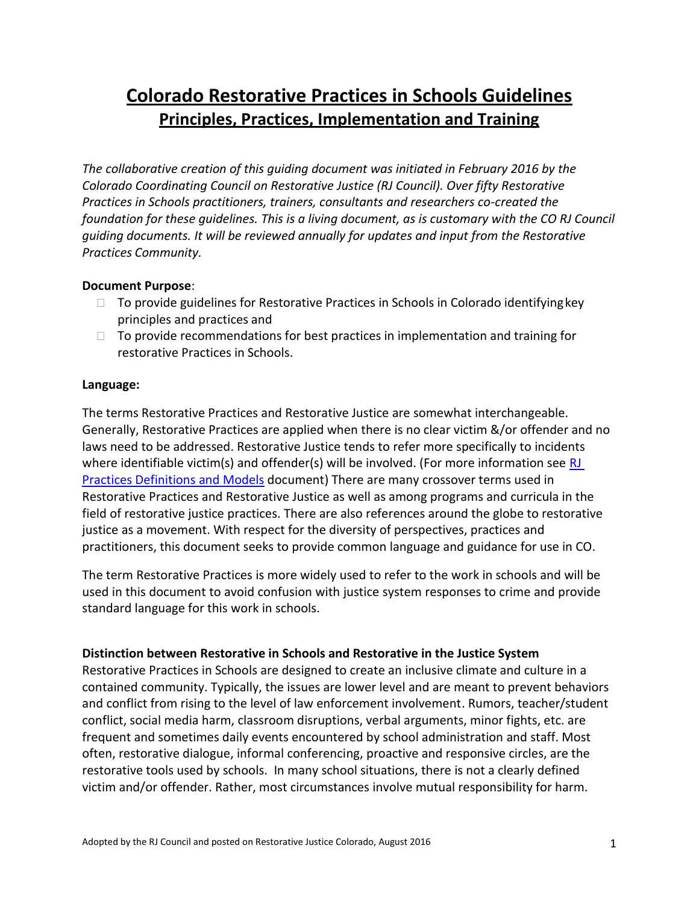# **Colorado Restorative Practices in Schools Guidelines Principles, Practices, Implementation and Training**

*The collaborative creation of this guiding document was initiated in February 2016 by the Colorado Coordinating Council on Restorative Justice (RJ Council). Over fifty Restorative Practices in Schools practitioners, trainers, consultants and researchers co-created the foundation for these guidelines. This is a living document, as is customary with the CO RJ Council guiding documents. It will be reviewed annually for updates and input from the Restorative Practices Community.*

#### **Document Purpose**:

- $\Box$  To provide guidelines for Restorative Practices in Schools in Colorado identifying key principles and practices and
- $\Box$  To provide recommendations for best practices in implementation and training for restorative Practices in Schools.

#### **Language:**

The terms Restorative Practices and Restorative Justice are somewhat interchangeable. Generally, Restorative Practices are applied when there is no clear victim &/or offender and no laws need to be addressed. Restorative Justice tends to refer more specifically to incidents where identifiable victim(s) and offender(s) will be involved. (For more information see  $RJ$ [Practices Definitions](https://rjcolorado.org/download/28457/) and Models document) There are many crossover terms used in Restorative Practices and Restorative Justice as well as among programs and curricula in the field of restorative justice practices. There are also references around the globe to restorative justice as a movement. With respect for the diversity of perspectives, practices and practitioners, this document seeks to provide common language and guidance for use in CO.

The term Restorative Practices is more widely used to refer to the work in schools and will be used in this document to avoid confusion with justice system responses to crime and provide standard language for this work in schools.

#### **Distinction between Restorative in Schools and Restorative in the Justice System**

Restorative Practices in Schools are designed to create an inclusive climate and culture in a contained community. Typically, the issues are lower level and are meant to prevent behaviors and conflict from rising to the level of law enforcement involvement. Rumors, teacher/student conflict, social media harm, classroom disruptions, verbal arguments, minor fights, etc. are frequent and sometimes daily events encountered by school administration and staff. Most often, restorative dialogue, informal conferencing, proactive and responsive circles, are the restorative tools used by schools. In many school situations, there is not a clearly defined victim and/or offender. Rather, most circumstances involve mutual responsibility for harm.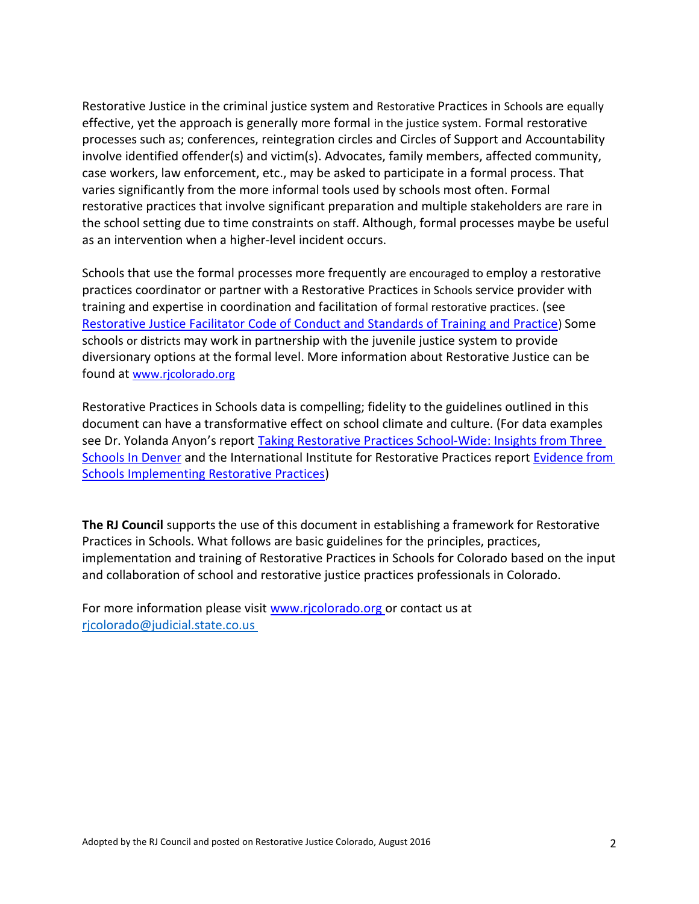Restorative Justice in the criminal justice system and Restorative Practices in Schools are equally effective, yet the approach is generally more formal in the justice system. Formal restorative processes such as; conferences, reintegration circles and Circles of Support and Accountability involve identified offender(s) and victim(s). Advocates, family members, affected community, case workers, law enforcement, etc., may be asked to participate in a formal process. That varies significantly from the more informal tools used by schools most often. Formal restorative practices that involve significant preparation and multiple stakeholders are rare in the school setting due to time constraints on staff. Although, formal processes maybe be useful as an intervention when a higher-level incident occurs.

Schools that use the formal processes more frequently are encouraged to employ a restorative practices coordinator or partner with a Restorative Practices in Schools service provider with training and expertise in coordination and facilitation of formal restorative practices. (see [Restorative Justice Facilitator Code of Conduct and Standards of Training and Practice](https://rjcolorado.org/download/28390/)) Some schools or districts may work in partnership with the juvenile justice system to provide diversionary options at the formal level. More information about Restorative Justice can be found at [www.rjcolorado.org](http://www.rjcolorado.org/)

Restorative Practices in Schools data is compelling; fidelity to the guidelines outlined in this document can have a transformative effect on school climate and culture. (For data examples see Dr. Yolanda Anyon's report [Taking Restorative Practices School-Wide: Insights from Three](https://static1.squarespace.com/static/5df6a1b14b53497560118848/t/5ef275cff3299f7b7da42152/1592948177494/taking_restorative_practices_school-wide.pdf)  [Schools In Denver](https://static1.squarespace.com/static/5df6a1b14b53497560118848/t/5ef275cff3299f7b7da42152/1592948177494/taking_restorative_practices_school-wide.pdf) and the International Institute for Restorative Practices report [Evidence from](http://www.iirp.edu/pdf/ImprovingSchoolClimate.pdf)  [Schools Implementing Restorative Practices\)](http://www.iirp.edu/pdf/ImprovingSchoolClimate.pdf)

**The RJ Council** supports the use of this document in establishing a framework for Restorative Practices in Schools. What follows are basic guidelines for the principles, practices, implementation and training of Restorative Practices in Schools for Colorado based on the input and collaboration of school and restorative justice practices professionals in Colorado.

For more information please visit [www.rjcolorado.org o](http://www.rjcolorado.org/)r contact us at rjcolorado@judicial.state.co.us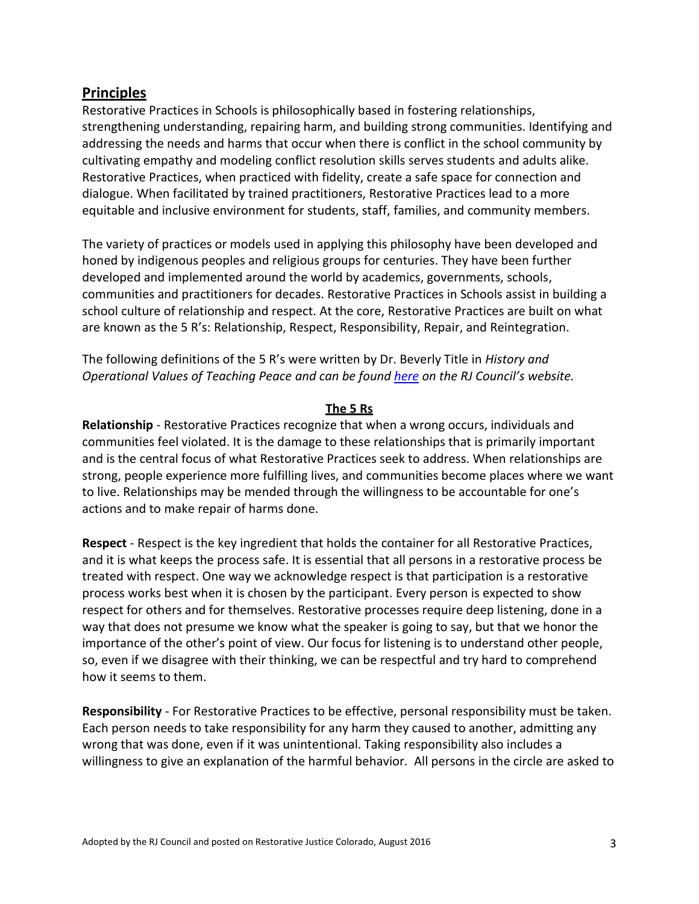# **Principles**

Restorative Practices in Schools is philosophically based in fostering relationships, strengthening understanding, repairing harm, and building strong communities. Identifying and addressing the needs and harms that occur when there is conflict in the school community by cultivating empathy and modeling conflict resolution skills serves students and adults alike. Restorative Practices, when practiced with fidelity, create a safe space for connection and dialogue. When facilitated by trained practitioners, Restorative Practices lead to a more equitable and inclusive environment for students, staff, families, and community members.

The variety of practices or models used in applying this philosophy have been developed and honed by indigenous peoples and religious groups for centuries. They have been further developed and implemented around the world by academics, governments, schools, communities and practitioners for decades. Restorative Practices in Schools assist in building a school culture of relationship and respect. At the core, Restorative Practices are built on what are known as the 5 R's: Relationship, Respect, Responsibility, Repair, and Reintegration.

The following definitions of the 5 R's were written by Dr. Beverly Title in *History and Operational Values of Teaching Peace and can be found [here](https://rjcolorado.org/download/28369/) on the RJ Council's website.* 

#### **The 5 Rs**

**Relationship** - Restorative Practices recognize that when a wrong occurs, individuals and communities feel violated. It is the damage to these relationships that is primarily important and is the central focus of what Restorative Practices seek to address. When relationships are strong, people experience more fulfilling lives, and communities become places where we want to live. Relationships may be mended through the willingness to be accountable for one's actions and to make repair of harms done.

**Respect** - Respect is the key ingredient that holds the container for all Restorative Practices, and it is what keeps the process safe. It is essential that all persons in a restorative process be treated with respect. One way we acknowledge respect is that participation is a restorative process works best when it is chosen by the participant. Every person is expected to show respect for others and for themselves. Restorative processes require deep listening, done in a way that does not presume we know what the speaker is going to say, but that we honor the importance of the other's point of view. Our focus for listening is to understand other people, so, even if we disagree with their thinking, we can be respectful and try hard to comprehend how it seems to them.

**Responsibility** - For Restorative Practices to be effective, personal responsibility must be taken. Each person needs to take responsibility for any harm they caused to another, admitting any wrong that was done, even if it was unintentional. Taking responsibility also includes a willingness to give an explanation of the harmful behavior. All persons in the circle are asked to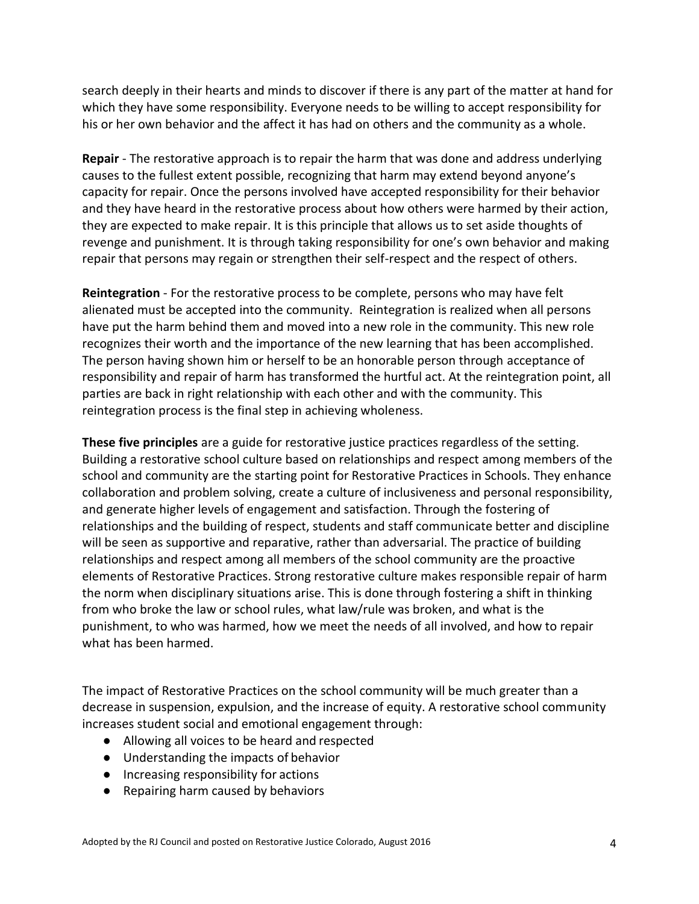search deeply in their hearts and minds to discover if there is any part of the matter at hand for which they have some responsibility. Everyone needs to be willing to accept responsibility for his or her own behavior and the affect it has had on others and the community as a whole.

**Repair** - The restorative approach is to repair the harm that was done and address underlying causes to the fullest extent possible, recognizing that harm may extend beyond anyone's capacity for repair. Once the persons involved have accepted responsibility for their behavior and they have heard in the restorative process about how others were harmed by their action, they are expected to make repair. It is this principle that allows us to set aside thoughts of revenge and punishment. It is through taking responsibility for one's own behavior and making repair that persons may regain or strengthen their self-respect and the respect of others.

**Reintegration** - For the restorative process to be complete, persons who may have felt alienated must be accepted into the community. Reintegration is realized when all persons have put the harm behind them and moved into a new role in the community. This new role recognizes their worth and the importance of the new learning that has been accomplished. The person having shown him or herself to be an honorable person through acceptance of responsibility and repair of harm has transformed the hurtful act. At the reintegration point, all parties are back in right relationship with each other and with the community. This reintegration process is the final step in achieving wholeness.

**These five principles** are a guide for restorative justice practices regardless of the setting. Building a restorative school culture based on relationships and respect among members of the school and community are the starting point for Restorative Practices in Schools. They enhance collaboration and problem solving, create a culture of inclusiveness and personal responsibility, and generate higher levels of engagement and satisfaction. Through the fostering of relationships and the building of respect, students and staff communicate better and discipline will be seen as supportive and reparative, rather than adversarial. The practice of building relationships and respect among all members of the school community are the proactive elements of Restorative Practices. Strong restorative culture makes responsible repair of harm the norm when disciplinary situations arise. This is done through fostering a shift in thinking from who broke the law or school rules, what law/rule was broken, and what is the punishment, to who was harmed, how we meet the needs of all involved, and how to repair what has been harmed.

The impact of Restorative Practices on the school community will be much greater than a decrease in suspension, expulsion, and the increase of equity. A restorative school community increases student social and emotional engagement through:

- Allowing all voices to be heard and respected
- Understanding the impacts of behavior
- Increasing responsibility for actions
- Repairing harm caused by behaviors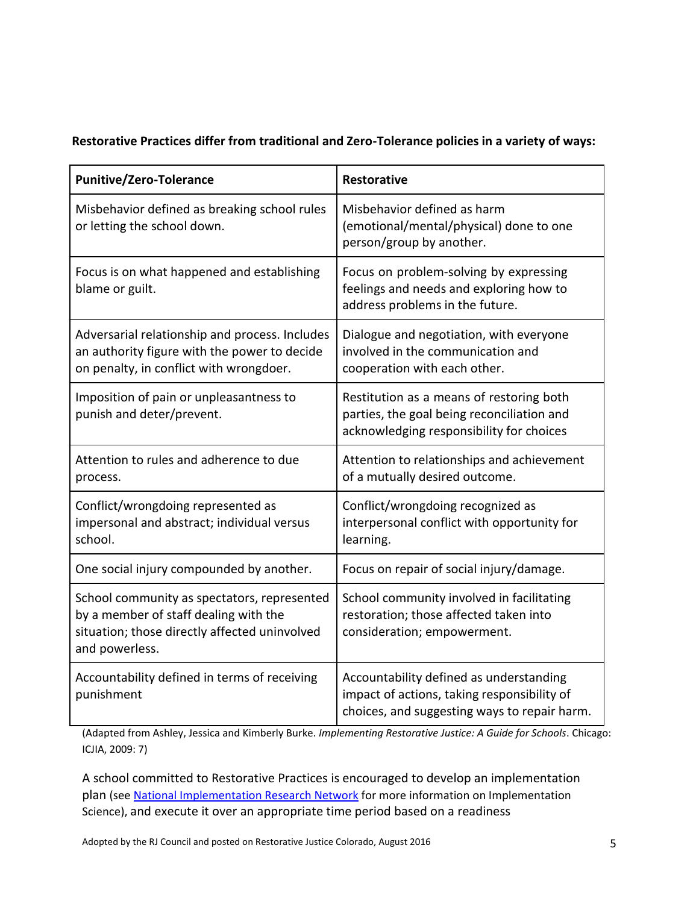### **Restorative Practices differ from traditional and Zero-Tolerance policies in a variety of ways:**

| <b>Punitive/Zero-Tolerance</b>                                                                                                                          | <b>Restorative</b>                                                                                                                     |
|---------------------------------------------------------------------------------------------------------------------------------------------------------|----------------------------------------------------------------------------------------------------------------------------------------|
| Misbehavior defined as breaking school rules<br>or letting the school down.                                                                             | Misbehavior defined as harm<br>(emotional/mental/physical) done to one<br>person/group by another.                                     |
| Focus is on what happened and establishing<br>blame or guilt.                                                                                           | Focus on problem-solving by expressing<br>feelings and needs and exploring how to<br>address problems in the future.                   |
| Adversarial relationship and process. Includes<br>an authority figure with the power to decide<br>on penalty, in conflict with wrongdoer.               | Dialogue and negotiation, with everyone<br>involved in the communication and<br>cooperation with each other.                           |
| Imposition of pain or unpleasantness to<br>punish and deter/prevent.                                                                                    | Restitution as a means of restoring both<br>parties, the goal being reconciliation and<br>acknowledging responsibility for choices     |
| Attention to rules and adherence to due<br>process.                                                                                                     | Attention to relationships and achievement<br>of a mutually desired outcome.                                                           |
| Conflict/wrongdoing represented as<br>impersonal and abstract; individual versus<br>school.                                                             | Conflict/wrongdoing recognized as<br>interpersonal conflict with opportunity for<br>learning.                                          |
| One social injury compounded by another.                                                                                                                | Focus on repair of social injury/damage.                                                                                               |
| School community as spectators, represented<br>by a member of staff dealing with the<br>situation; those directly affected uninvolved<br>and powerless. | School community involved in facilitating<br>restoration; those affected taken into<br>consideration; empowerment.                     |
| Accountability defined in terms of receiving<br>punishment                                                                                              | Accountability defined as understanding<br>impact of actions, taking responsibility of<br>choices, and suggesting ways to repair harm. |

(Adapted from Ashley, Jessica and Kimberly Burke. *Implementing Restorative Justice: A Guide for Schools*. Chicago: ICJIA, 2009: 7)

A school committed to Restorative Practices is encouraged to develop an implementation plan (see [National Implementation Research Network](https://nirn.fpg.unc.edu/national-implementation-research-network) for more information on Implementation Science), and execute it over an appropriate time period based on a readiness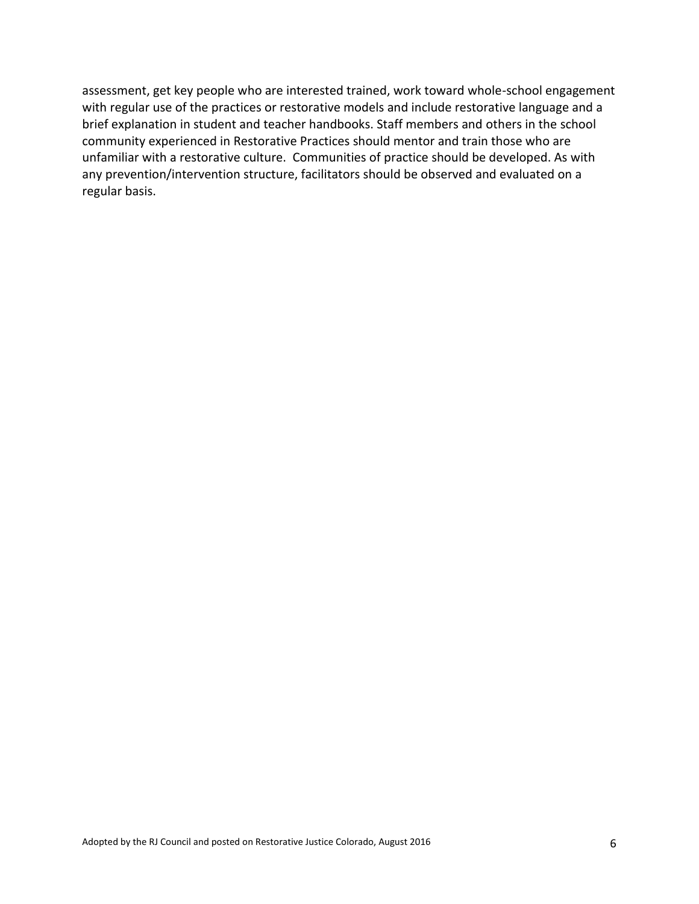assessment, get key people who are interested trained, work toward whole-school engagement with regular use of the practices or restorative models and include restorative language and a brief explanation in student and teacher handbooks. Staff members and others in the school community experienced in Restorative Practices should mentor and train those who are unfamiliar with a restorative culture. Communities of practice should be developed. As with any prevention/intervention structure, facilitators should be observed and evaluated on a regular basis.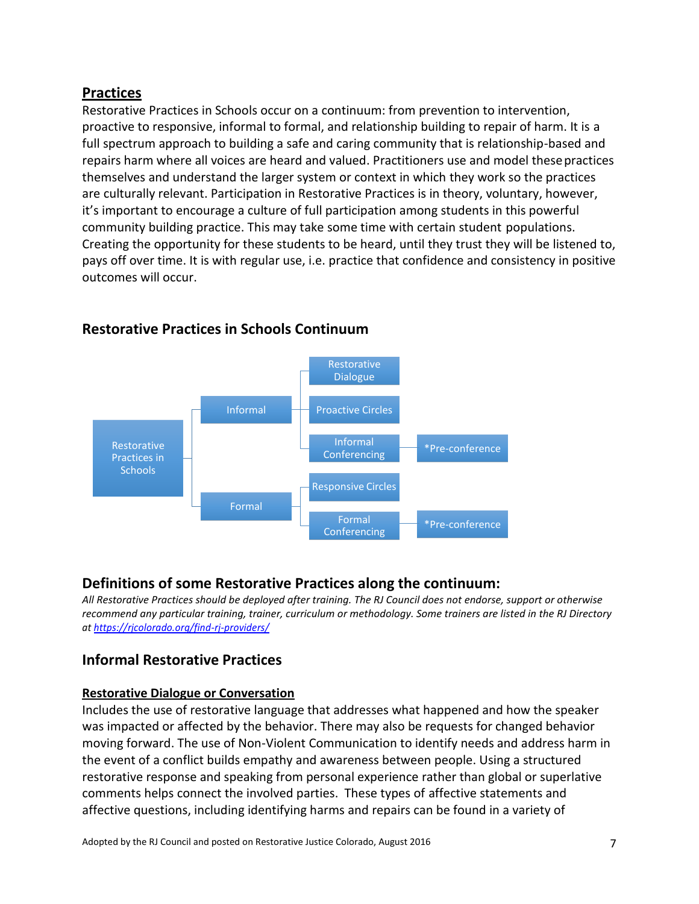# **Practices**

Restorative Practices in Schools occur on a continuum: from prevention to intervention, proactive to responsive, informal to formal, and relationship building to repair of harm. It is a full spectrum approach to building a safe and caring community that is relationship-based and repairs harm where all voices are heard and valued. Practitioners use and model thesepractices themselves and understand the larger system or context in which they work so the practices are culturally relevant. Participation in Restorative Practices is in theory, voluntary, however, it's important to encourage a culture of full participation among students in this powerful community building practice. This may take some time with certain student populations. Creating the opportunity for these students to be heard, until they trust they will be listened to, pays off over time. It is with regular use, i.e. practice that confidence and consistency in positive outcomes will occur.



# **Restorative Practices in Schools Continuum**

# **Definitions of some Restorative Practices along the continuum:**

*All Restorative Practices should be deployed after training. The RJ Council does not endorse, support or otherwise recommend any particular training, trainer, curriculum or methodology. Some trainers are listed in the RJ Directory at <https://rjcolorado.org/find-rj-providers/>*

# **Informal Restorative Practices**

### **Restorative Dialogue or Conversation**

Includes the use of restorative language that addresses what happened and how the speaker was impacted or affected by the behavior. There may also be requests for changed behavior moving forward. The use of Non-Violent Communication to identify needs and address harm in the event of a conflict builds empathy and awareness between people. Using a structured restorative response and speaking from personal experience rather than global or superlative comments helps connect the involved parties. These types of affective statements and affective questions, including identifying harms and repairs can be found in a variety of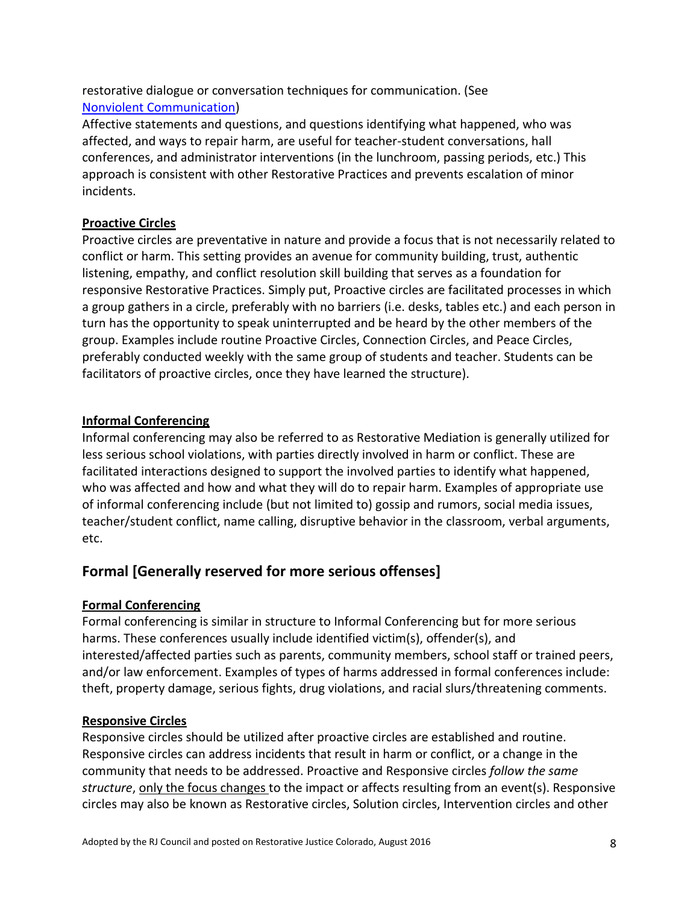restorative dialogue or conversation techniques for communication. (See [Nonviolent Communication\)](https://www.nonviolentcommunication.com/learn-nonviolent-communication/)

Affective statements and questions, and questions identifying what happened, who was affected, and ways to repair harm, are useful for teacher-student conversations, hall conferences, and administrator interventions (in the lunchroom, passing periods, etc.) This approach is consistent with other Restorative Practices and prevents escalation of minor incidents.

### **Proactive Circles**

Proactive circles are preventative in nature and provide a focus that is not necessarily related to conflict or harm. This setting provides an avenue for community building, trust, authentic listening, empathy, and conflict resolution skill building that serves as a foundation for responsive Restorative Practices. Simply put, Proactive circles are facilitated processes in which a group gathers in a circle, preferably with no barriers (i.e. desks, tables etc.) and each person in turn has the opportunity to speak uninterrupted and be heard by the other members of the group. Examples include routine Proactive Circles, Connection Circles, and Peace Circles, preferably conducted weekly with the same group of students and teacher. Students can be facilitators of proactive circles, once they have learned the structure).

### **Informal Conferencing**

Informal conferencing may also be referred to as Restorative Mediation is generally utilized for less serious school violations, with parties directly involved in harm or conflict. These are facilitated interactions designed to support the involved parties to identify what happened, who was affected and how and what they will do to repair harm. Examples of appropriate use of informal conferencing include (but not limited to) gossip and rumors, social media issues, teacher/student conflict, name calling, disruptive behavior in the classroom, verbal arguments, etc.

# **Formal [Generally reserved for more serious offenses]**

# **Formal Conferencing**

Formal conferencing is similar in structure to Informal Conferencing but for more serious harms. These conferences usually include identified victim(s), offender(s), and interested/affected parties such as parents, community members, school staff or trained peers, and/or law enforcement. Examples of types of harms addressed in formal conferences include: theft, property damage, serious fights, drug violations, and racial slurs/threatening comments.

# **Responsive Circles**

Responsive circles should be utilized after proactive circles are established and routine. Responsive circles can address incidents that result in harm or conflict, or a change in the community that needs to be addressed. Proactive and Responsive circles *follow the same structure*, only the focus changes to the impact or affects resulting from an event(s). Responsive circles may also be known as Restorative circles, Solution circles, Intervention circles and other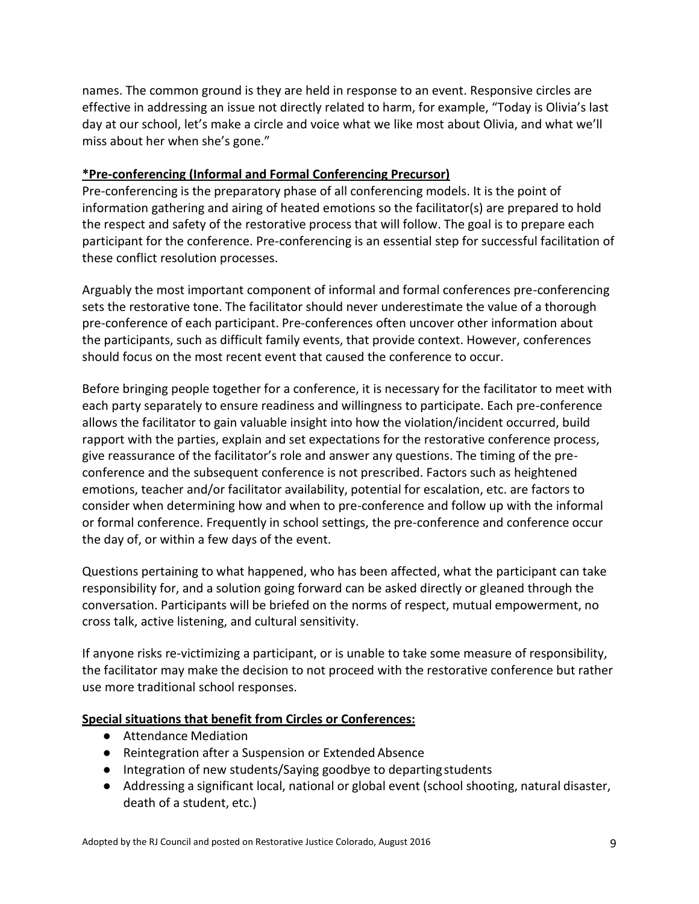names. The common ground is they are held in response to an event. Responsive circles are effective in addressing an issue not directly related to harm, for example, "Today is Olivia's last day at our school, let's make a circle and voice what we like most about Olivia, and what we'll miss about her when she's gone."

#### **\*Pre-conferencing (Informal and Formal Conferencing Precursor)**

Pre-conferencing is the preparatory phase of all conferencing models. It is the point of information gathering and airing of heated emotions so the facilitator(s) are prepared to hold the respect and safety of the restorative process that will follow. The goal is to prepare each participant for the conference. Pre-conferencing is an essential step for successful facilitation of these conflict resolution processes.

Arguably the most important component of informal and formal conferences pre-conferencing sets the restorative tone. The facilitator should never underestimate the value of a thorough pre-conference of each participant. Pre-conferences often uncover other information about the participants, such as difficult family events, that provide context. However, conferences should focus on the most recent event that caused the conference to occur.

Before bringing people together for a conference, it is necessary for the facilitator to meet with each party separately to ensure readiness and willingness to participate. Each pre-conference allows the facilitator to gain valuable insight into how the violation/incident occurred, build rapport with the parties, explain and set expectations for the restorative conference process, give reassurance of the facilitator's role and answer any questions. The timing of the preconference and the subsequent conference is not prescribed. Factors such as heightened emotions, teacher and/or facilitator availability, potential for escalation, etc. are factors to consider when determining how and when to pre-conference and follow up with the informal or formal conference. Frequently in school settings, the pre-conference and conference occur the day of, or within a few days of the event.

Questions pertaining to what happened, who has been affected, what the participant can take responsibility for, and a solution going forward can be asked directly or gleaned through the conversation. Participants will be briefed on the norms of respect, mutual empowerment, no cross talk, active listening, and cultural sensitivity.

If anyone risks re-victimizing a participant, or is unable to take some measure of responsibility, the facilitator may make the decision to not proceed with the restorative conference but rather use more traditional school responses.

#### **Special situations that benefit from Circles or Conferences:**

- Attendance Mediation
- Reintegration after a Suspension or Extended Absence
- Integration of new students/Saying goodbye to departingstudents
- Addressing a significant local, national or global event (school shooting, natural disaster, death of a student, etc.)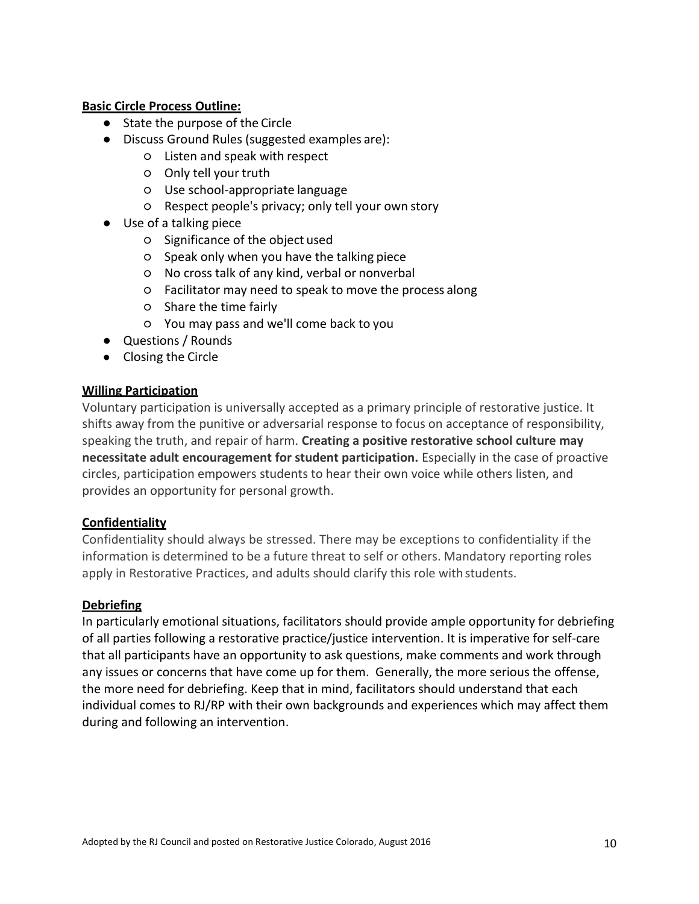#### **Basic Circle Process Outline:**

- State the purpose of the Circle
- Discuss Ground Rules (suggested examples are):
	- Listen and speak with respect
	- Only tell your truth
	- Use school-appropriate language
	- Respect people's privacy; only tell your own story
- Use of a talking piece
	- Significance of the object used
	- Speak only when you have the talking piece
	- No cross talk of any kind, verbal or nonverbal
	- Facilitator may need to speak to move the process along
	- Share the time fairly
	- You may pass and we'll come back to you
- Questions / Rounds
- Closing the Circle

#### **Willing Participation**

Voluntary participation is universally accepted as a primary principle of restorative justice. It shifts away from the punitive or adversarial response to focus on acceptance of responsibility, speaking the truth, and repair of harm. **Creating a positive restorative school culture may necessitate adult encouragement for student participation.** Especially in the case of proactive circles, participation empowers students to hear their own voice while others listen, and provides an opportunity for personal growth.

#### **Confidentiality**

Confidentiality should always be stressed. There may be exceptions to confidentiality if the information is determined to be a future threat to self or others. Mandatory reporting roles apply in Restorative Practices, and adults should clarify this role withstudents.

#### **Debriefing**

In particularly emotional situations, facilitators should provide ample opportunity for debriefing of all parties following a restorative practice/justice intervention. It is imperative for self-care that all participants have an opportunity to ask questions, make comments and work through any issues or concerns that have come up for them. Generally, the more serious the offense, the more need for debriefing. Keep that in mind, facilitators should understand that each individual comes to RJ/RP with their own backgrounds and experiences which may affect them during and following an intervention.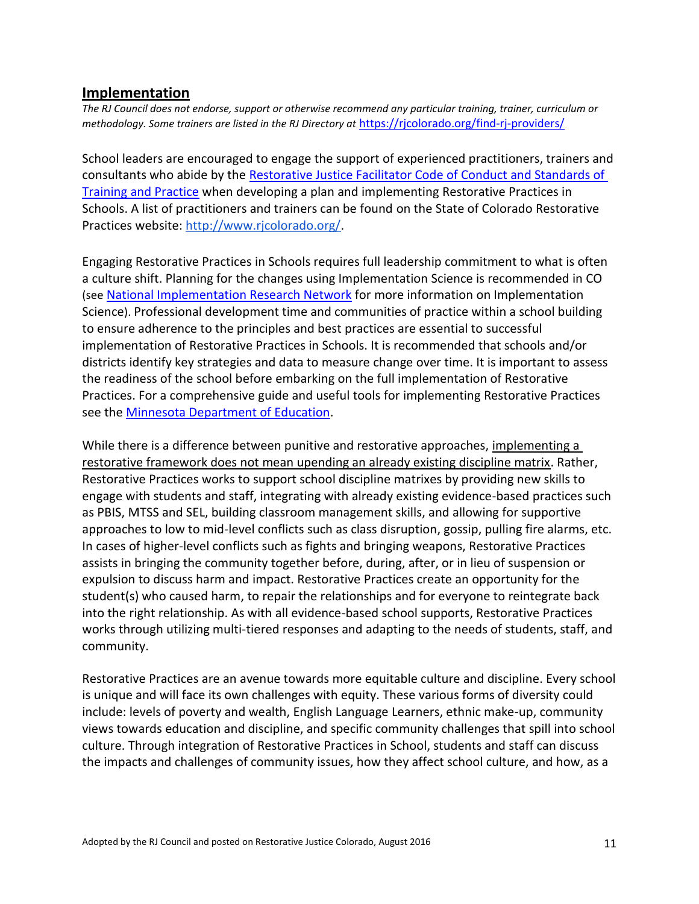### **Implementation**

*The RJ Council does not endorse, support or otherwise recommend any particular training, trainer, curriculum or methodology. Some trainers are listed in the RJ Directory at <https://rjcolorado.org/find-rj-providers/>* 

School leaders are encouraged to engage the support of experienced practitioners, trainers and consultants who abide by the [Restorative Justice Facilitator Code of Conduct and Standards of](https://rjcolorado.org/download/28390/)  [Training and Practice](https://rjcolorado.org/wp-content/uploads/simple-file-list/Important-Documents/CORJ-Facilitator-Code-of-Conduct-Standards-of-Training-Practice.pdf) when developing a plan and implementing Restorative Practices in Schools. A list of practitioners and trainers can be found on the State of Colorado Restorative Practices website: [http://www.rjcolorado.org/.](http://www.rjcolorado.org/)

Engaging Restorative Practices in Schools requires full leadership commitment to what is often a culture shift. Planning for the changes using Implementation Science is recommended in CO (see [National Implementation Research Network](https://nirn.fpg.unc.edu/national-implementation-research-network) for more information on Implementation Science). Professional development time and communities of practice within a school building to ensure adherence to the principles and best practices are essential to successful implementation of Restorative Practices in Schools. It is recommended that schools and/or districts identify key strategies and data to measure change over time. It is important to assess the readiness of the school before embarking on the full implementation of Restorative Practices. For a comprehensive guide and useful tools for implementing Restorative Practices see the [Minnesota Department of Education.](https://education.mn.gov/MDE/dse/safe/prac/resprac/)

While there is a difference between punitive and restorative approaches, implementing a restorative framework does not mean upending an already existing discipline matrix. Rather, Restorative Practices works to support school discipline matrixes by providing new skills to engage with students and staff, integrating with already existing evidence-based practices such as PBIS, MTSS and SEL, building classroom management skills, and allowing for supportive approaches to low to mid-level conflicts such as class disruption, gossip, pulling fire alarms, etc. In cases of higher-level conflicts such as fights and bringing weapons, Restorative Practices assists in bringing the community together before, during, after, or in lieu of suspension or expulsion to discuss harm and impact. Restorative Practices create an opportunity for the student(s) who caused harm, to repair the relationships and for everyone to reintegrate back into the right relationship. As with all evidence-based school supports, Restorative Practices works through utilizing multi-tiered responses and adapting to the needs of students, staff, and community.

Restorative Practices are an avenue towards more equitable culture and discipline. Every school is unique and will face its own challenges with equity. These various forms of diversity could include: levels of poverty and wealth, English Language Learners, ethnic make-up, community views towards education and discipline, and specific community challenges that spill into school culture. Through integration of Restorative Practices in School, students and staff can discuss the impacts and challenges of community issues, how they affect school culture, and how, as a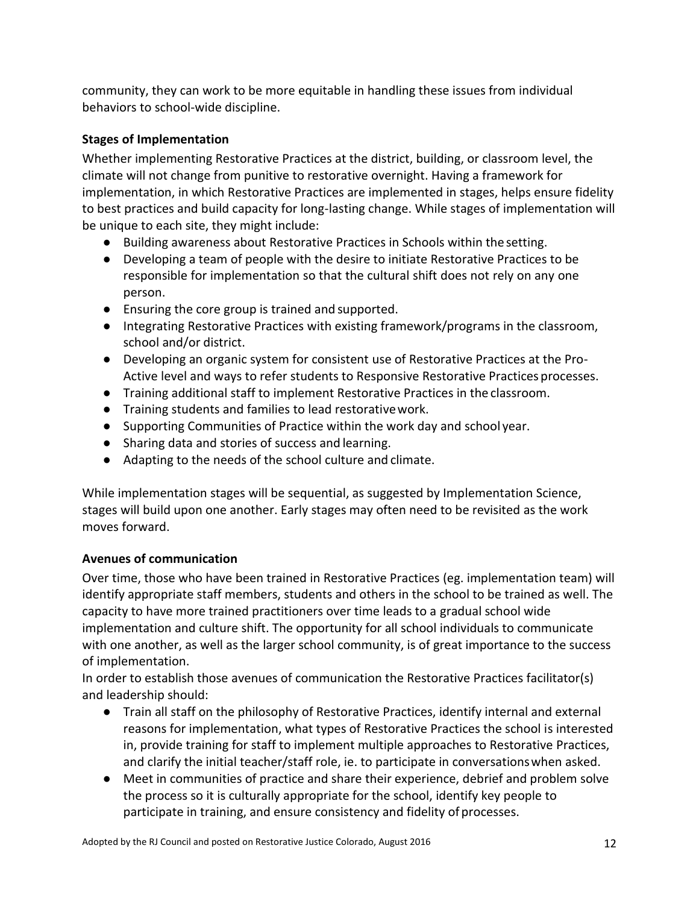community, they can work to be more equitable in handling these issues from individual behaviors to school-wide discipline.

### **Stages of Implementation**

Whether implementing Restorative Practices at the district, building, or classroom level, the climate will not change from punitive to restorative overnight. Having a framework for implementation, in which Restorative Practices are implemented in stages, helps ensure fidelity to best practices and build capacity for long-lasting change. While stages of implementation will be unique to each site, they might include:

- Building awareness about Restorative Practices in Schools within the setting.
- Developing a team of people with the desire to initiate Restorative Practices to be responsible for implementation so that the cultural shift does not rely on any one person.
- Ensuring the core group is trained and supported.
- Integrating Restorative Practices with existing framework/programs in the classroom, school and/or district.
- Developing an organic system for consistent use of Restorative Practices at the Pro-Active level and ways to refer students to Responsive Restorative Practices processes.
- Training additional staff to implement Restorative Practices in the classroom.
- Training students and families to lead restorativework.
- Supporting Communities of Practice within the work day and school year.
- Sharing data and stories of success and learning.
- Adapting to the needs of the school culture and climate.

While implementation stages will be sequential, as suggested by Implementation Science, stages will build upon one another. Early stages may often need to be revisited as the work moves forward.

### **Avenues of communication**

Over time, those who have been trained in Restorative Practices (eg. implementation team) will identify appropriate staff members, students and others in the school to be trained as well. The capacity to have more trained practitioners over time leads to a gradual school wide implementation and culture shift. The opportunity for all school individuals to communicate with one another, as well as the larger school community, is of great importance to the success of implementation.

In order to establish those avenues of communication the Restorative Practices facilitator(s) and leadership should:

- Train all staff on the philosophy of Restorative Practices, identify internal and external reasons for implementation, what types of Restorative Practices the school is interested in, provide training for staff to implement multiple approaches to Restorative Practices, and clarify the initial teacher/staff role, ie. to participate in conversationswhen asked.
- Meet in communities of practice and share their experience, debrief and problem solve the process so it is culturally appropriate for the school, identify key people to participate in training, and ensure consistency and fidelity of processes.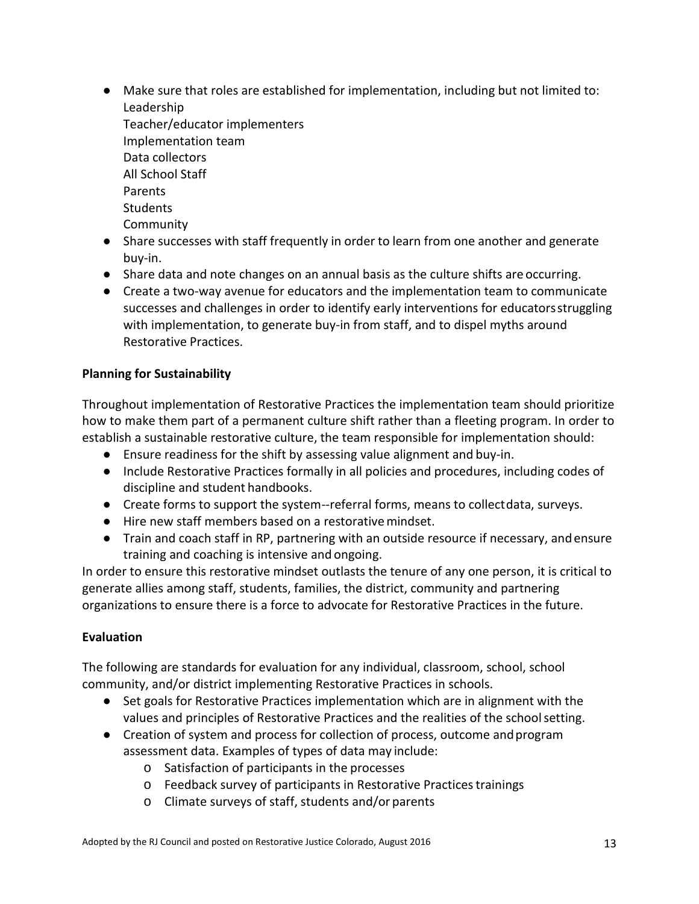- Make sure that roles are established for implementation, including but not limited to: Leadership Teacher/educator implementers Implementation team Data collectors All School Staff Parents **Students** Community
- Share successes with staff frequently in order to learn from one another and generate buy-in.
- Share data and note changes on an annual basis as the culture shifts are occurring.
- Create a two-way avenue for educators and the implementation team to communicate successes and challenges in order to identify early interventions for educatorsstruggling with implementation, to generate buy-in from staff, and to dispel myths around Restorative Practices.

### **Planning for Sustainability**

Throughout implementation of Restorative Practices the implementation team should prioritize how to make them part of a permanent culture shift rather than a fleeting program. In order to establish a sustainable restorative culture, the team responsible for implementation should:

- Ensure readiness for the shift by assessing value alignment and buy-in.
- Include Restorative Practices formally in all policies and procedures, including codes of discipline and student handbooks.
- Create forms to support the system--referral forms, means to collectdata, surveys.
- Hire new staff members based on a restorativemindset.
- Train and coach staff in RP, partnering with an outside resource if necessary, and ensure training and coaching is intensive and ongoing.

In order to ensure this restorative mindset outlasts the tenure of any one person, it is critical to generate allies among staff, students, families, the district, community and partnering organizations to ensure there is a force to advocate for Restorative Practices in the future.

### **Evaluation**

The following are standards for evaluation for any individual, classroom, school, school community, and/or district implementing Restorative Practices in schools.

- Set goals for Restorative Practices implementation which are in alignment with the values and principles of Restorative Practices and the realities of the schoolsetting.
- Creation of system and process for collection of process, outcome andprogram assessment data. Examples of types of data may include:
	- o Satisfaction of participants in the processes
	- o Feedback survey of participants in Restorative Practicestrainings
	- o Climate surveys of staff, students and/or parents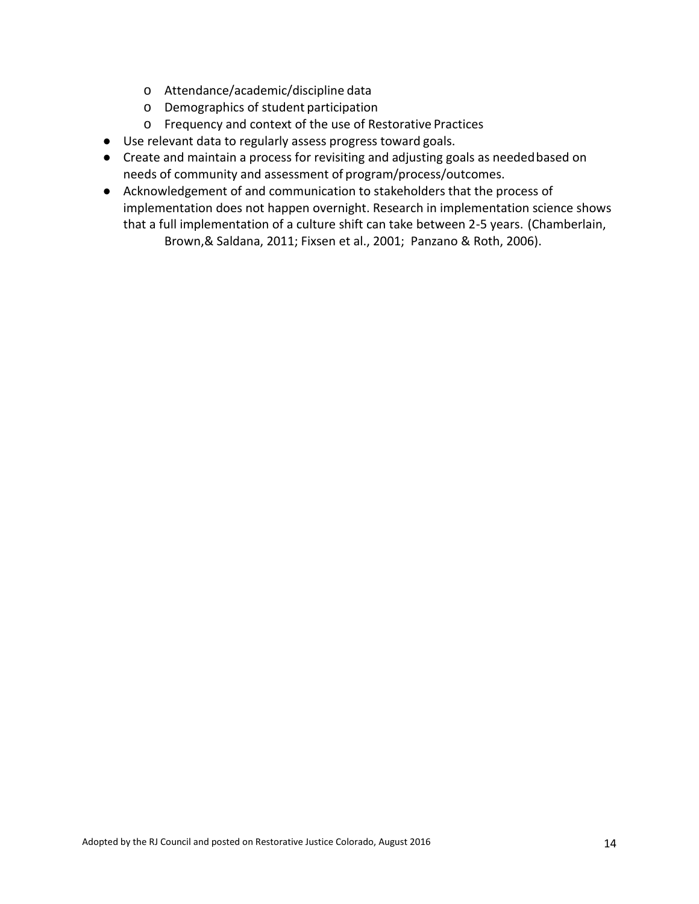- o Attendance/academic/discipline data
- o Demographics of student participation
- o Frequency and context of the use of Restorative Practices
- Use relevant data to regularly assess progress toward goals.
- Create and maintain a process for revisiting and adjusting goals as neededbased on needs of community and assessment of program/process/outcomes.
- Acknowledgement of and communication to stakeholders that the process of implementation does not happen overnight. Research in implementation science shows that a full implementation of a culture shift can take between 2-5 years. (Chamberlain, Brown,& Saldana, 2011; Fixsen et al., 2001; Panzano & Roth, 2006).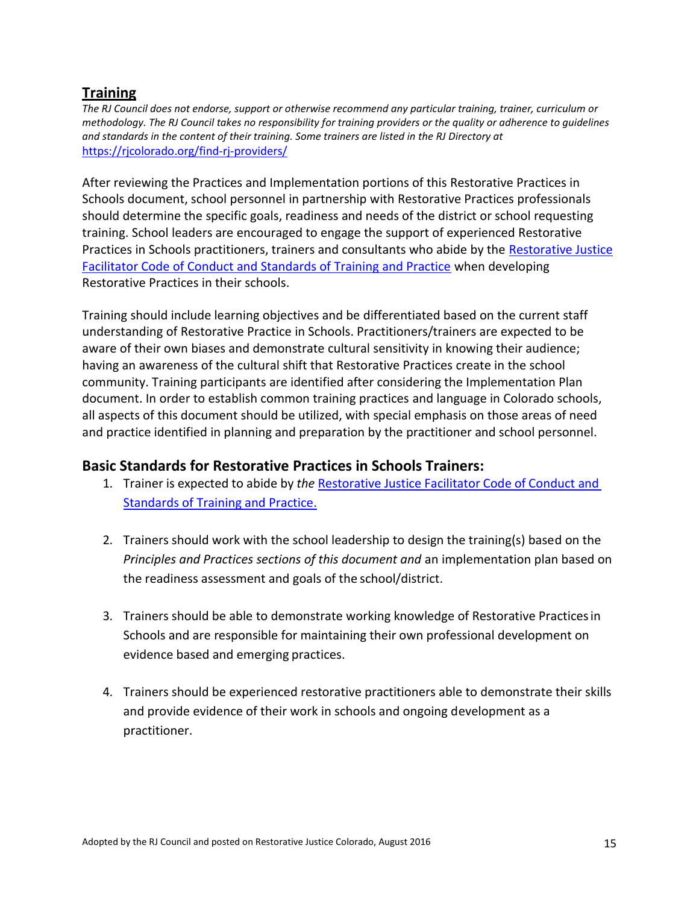# **Training**

*The RJ Council does not endorse, support or otherwise recommend any particular training, trainer, curriculum or methodology. The RJ Council takes no responsibility for training providers or the quality or adherence to guidelines and standards in the content of their training. Some trainers are listed in the RJ Directory at*  <https://rjcolorado.org/find-rj-providers/>

After reviewing the Practices and Implementation portions of this Restorative Practices in Schools document, school personnel in partnership with Restorative Practices professionals should determine the specific goals, readiness and needs of the district or school requesting training. School leaders are encouraged to engage the support of experienced Restorative Practices in Schools practitioners, trainers and consultants who abide by the [Restorative Justice](https://rjcolorado.org/wp-content/uploads/simple-file-list/Important-Documents/CORJ-Facilitator-Code-of-Conduct-Standards-of-Training-Practice.pdf)  [Facilitator Code of Conduct and Standards of Training and Practice](https://rjcolorado.org/download/28390/) when developing Restorative Practices in their schools.

Training should include learning objectives and be differentiated based on the current staff understanding of Restorative Practice in Schools. Practitioners/trainers are expected to be aware of their own biases and demonstrate cultural sensitivity in knowing their audience; having an awareness of the cultural shift that Restorative Practices create in the school community. Training participants are identified after considering the Implementation Plan document. In order to establish common training practices and language in Colorado schools, all aspects of this document should be utilized, with special emphasis on those areas of need and practice identified in planning and preparation by the practitioner and school personnel.

# **Basic Standards for Restorative Practices in Schools Trainers:**

- 1. Trainer is expected to abide by *the* [Restorative](https://rjcolorado.org/download/28390/) Justice Facilitator Code of Conduct and [Standards of Training and Practice.](https://rjcolorado.org/wp-content/uploads/simple-file-list/Important-Documents/CORJ-Facilitator-Code-of-Conduct-Standards-of-Training-Practice.pdf)
- 2. Trainers should work with the school leadership to design the training(s) based on the *Principles and Practices sections of this document and* an implementation plan based on the readiness assessment and goals of the school/district.
- 3. Trainers should be able to demonstrate working knowledge of Restorative Practicesin Schools and are responsible for maintaining their own professional development on evidence based and emerging practices.
- 4. Trainers should be experienced restorative practitioners able to demonstrate their skills and provide evidence of their work in schools and ongoing development as a practitioner.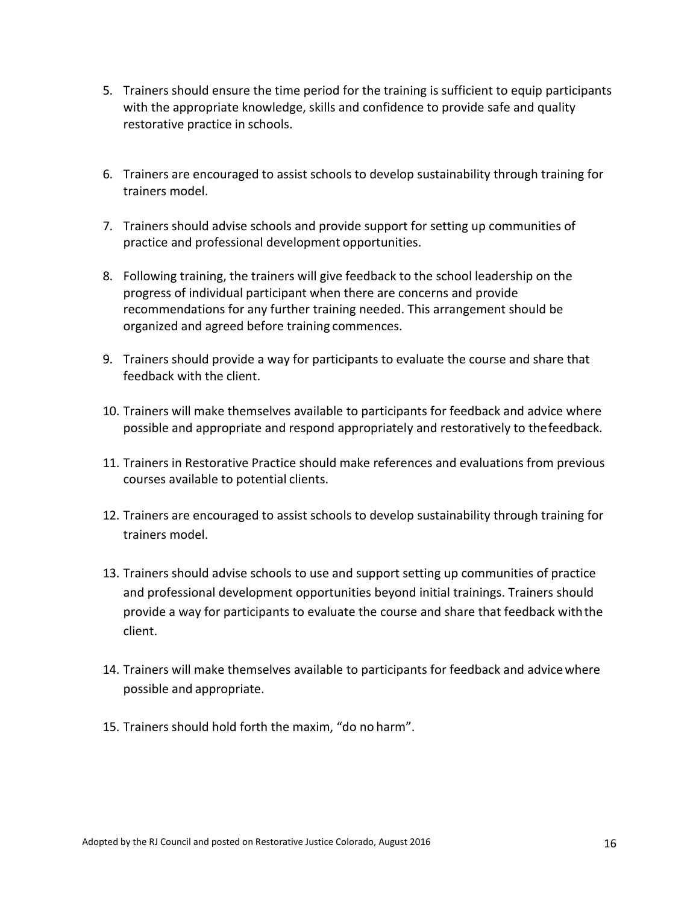- 5. Trainers should ensure the time period for the training is sufficient to equip participants with the appropriate knowledge, skills and confidence to provide safe and quality restorative practice in schools.
- 6. Trainers are encouraged to assist schools to develop sustainability through training for trainers model.
- 7. Trainers should advise schools and provide support for setting up communities of practice and professional development opportunities.
- 8. Following training, the trainers will give feedback to the school leadership on the progress of individual participant when there are concerns and provide recommendations for any further training needed. This arrangement should be organized and agreed before training commences.
- 9. Trainers should provide a way for participants to evaluate the course and share that feedback with the client.
- 10. Trainers will make themselves available to participants for feedback and advice where possible and appropriate and respond appropriately and restoratively to thefeedback.
- 11. Trainers in Restorative Practice should make references and evaluations from previous courses available to potential clients.
- 12. Trainers are encouraged to assist schools to develop sustainability through training for trainers model.
- 13. Trainers should advise schools to use and support setting up communities of practice and professional development opportunities beyond initial trainings. Trainers should provide a way for participants to evaluate the course and share that feedback withthe client.
- 14. Trainers will make themselves available to participants for feedback and advicewhere possible and appropriate.
- 15. Trainers should hold forth the maxim, "do no harm".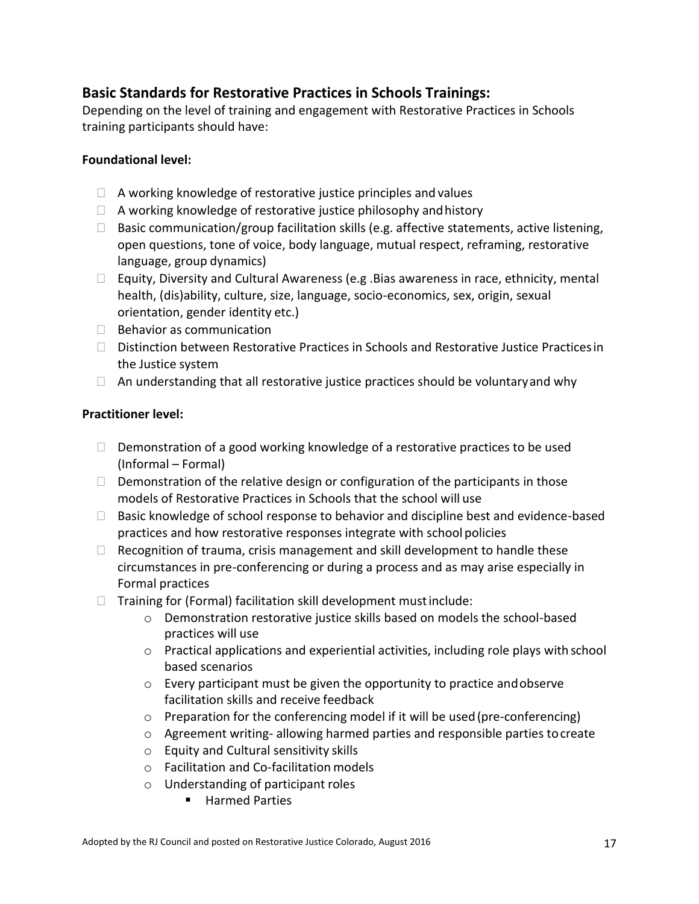# **Basic Standards for Restorative Practices in Schools Trainings:**

Depending on the level of training and engagement with Restorative Practices in Schools training participants should have:

### **Foundational level:**

- $\Box$  A working knowledge of restorative justice principles and values
- $\Box$  A working knowledge of restorative justice philosophy and history
- $\Box$  Basic communication/group facilitation skills (e.g. affective statements, active listening, open questions, tone of voice, body language, mutual respect, reframing, restorative language, group dynamics)
- $\Box$  Equity, Diversity and Cultural Awareness (e.g . Bias awareness in race, ethnicity, mental health, (dis)ability, culture, size, language, socio-economics, sex, origin, sexual orientation, gender identity etc.)
- $\Box$  Behavior as communication
- Distinction between Restorative Practices in Schools and Restorative Justice Practicesin the Justice system
- $\Box$  An understanding that all restorative justice practices should be voluntary and why

### **Practitioner level:**

- $\Box$  Demonstration of a good working knowledge of a restorative practices to be used (Informal – Formal)
- $\Box$  Demonstration of the relative design or configuration of the participants in those models of Restorative Practices in Schools that the school will use
- $\Box$  Basic knowledge of school response to behavior and discipline best and evidence-based practices and how restorative responses integrate with schoolpolicies
- $\Box$  Recognition of trauma, crisis management and skill development to handle these circumstances in pre-conferencing or during a process and as may arise especially in Formal practices
- $\Box$  Training for (Formal) facilitation skill development must include:
	- o Demonstration restorative justice skills based on models the school-based practices will use
	- $\circ$  Practical applications and experiential activities, including role plays with school based scenarios
	- o Every participant must be given the opportunity to practice andobserve facilitation skills and receive feedback
	- $\circ$  Preparation for the conferencing model if it will be used (pre-conferencing)
	- o Agreement writing- allowing harmed parties and responsible parties tocreate
	- o Equity and Cultural sensitivity skills
	- o Facilitation and Co-facilitation models
	- o Understanding of participant roles
		- Harmed Parties